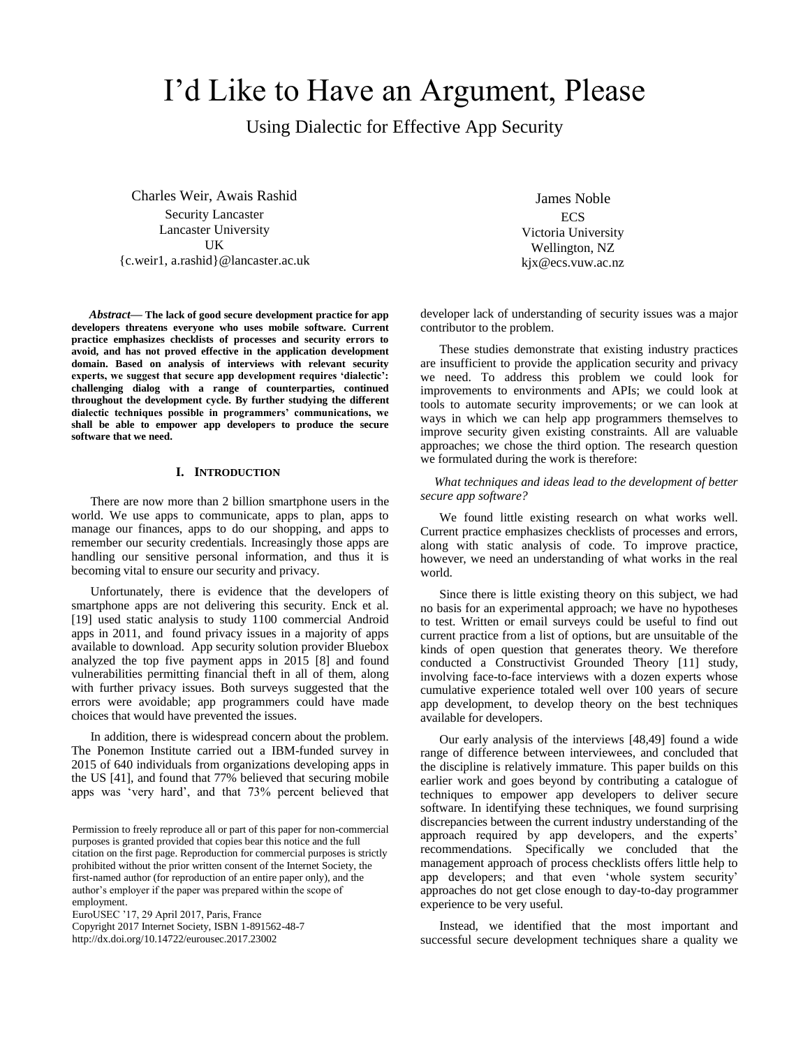# I'd Like to Have an Argument, Please

Using Dialectic for Effective App Security

Charles Weir, Awais Rashid Security Lancaster Lancaster University UK {c.weir1, a.rashid}@lancaster.ac.uk

*Abstract***— The lack of good secure development practice for app developers threatens everyone who uses mobile software. Current practice emphasizes checklists of processes and security errors to avoid, and has not proved effective in the application development domain. Based on analysis of interviews with relevant security experts, we suggest that secure app development requires 'dialectic': challenging dialog with a range of counterparties, continued throughout the development cycle. By further studying the different dialectic techniques possible in programmers' communications, we shall be able to empower app developers to produce the secure software that we need.**

# **I. INTRODUCTION**

There are now more than 2 billion smartphone users in the world. We use apps to communicate, apps to plan, apps to manage our finances, apps to do our shopping, and apps to remember our security credentials. Increasingly those apps are handling our sensitive personal information, and thus it is becoming vital to ensure our security and privacy.

Unfortunately, there is evidence that the developers of smartphone apps are not delivering this security. Enck et al. [19] used static analysis to study 1100 commercial Android apps in 2011, and found privacy issues in a majority of apps available to download. App security solution provider Bluebox analyzed the top five payment apps in 2015 [8] and found vulnerabilities permitting financial theft in all of them, along with further privacy issues. Both surveys suggested that the errors were avoidable; app programmers could have made choices that would have prevented the issues.

In addition, there is widespread concern about the problem. The Ponemon Institute carried out a IBM-funded survey in 2015 of 640 individuals from organizations developing apps in the US [41], and found that 77% believed that securing mobile apps was 'very hard', and that 73% percent believed that

EuroUSEC '17, 29 April 2017, Paris, France

Copyright 2017 Internet Society, ISBN 1-891562-48-7 http://dx.doi.org/10.14722/eurousec.2017.23002

James Noble **ECS** Victoria University Wellington, NZ kjx@ecs.vuw.ac.nz

developer lack of understanding of security issues was a major contributor to the problem.

These studies demonstrate that existing industry practices are insufficient to provide the application security and privacy we need. To address this problem we could look for improvements to environments and APIs; we could look at tools to automate security improvements; or we can look at ways in which we can help app programmers themselves to improve security given existing constraints. All are valuable approaches; we chose the third option. The research question we formulated during the work is therefore:

*What techniques and ideas lead to the development of better secure app software?*

We found little existing research on what works well. Current practice emphasizes checklists of processes and errors, along with static analysis of code. To improve practice, however, we need an understanding of what works in the real world.

Since there is little existing theory on this subject, we had no basis for an experimental approach; we have no hypotheses to test. Written or email surveys could be useful to find out current practice from a list of options, but are unsuitable of the kinds of open question that generates theory. We therefore conducted a Constructivist Grounded Theory [11] study, involving face-to-face interviews with a dozen experts whose cumulative experience totaled well over 100 years of secure app development, to develop theory on the best techniques available for developers.

Our early analysis of the interviews [48,49] found a wide range of difference between interviewees, and concluded that the discipline is relatively immature. This paper builds on this earlier work and goes beyond by contributing a catalogue of techniques to empower app developers to deliver secure software. In identifying these techniques, we found surprising discrepancies between the current industry understanding of the approach required by app developers, and the experts' recommendations. Specifically we concluded that the management approach of process checklists offers little help to app developers; and that even 'whole system security' approaches do not get close enough to day-to-day programmer experience to be very useful.

Instead, we identified that the most important and successful secure development techniques share a quality we

Permission to freely reproduce all or part of this paper for non-commercial purposes is granted provided that copies bear this notice and the full citation on the first page. Reproduction for commercial purposes is strictly prohibited without the prior written consent of the Internet Society, the first-named author (for reproduction of an entire paper only), and the author's employer if the paper was prepared within the scope of employment.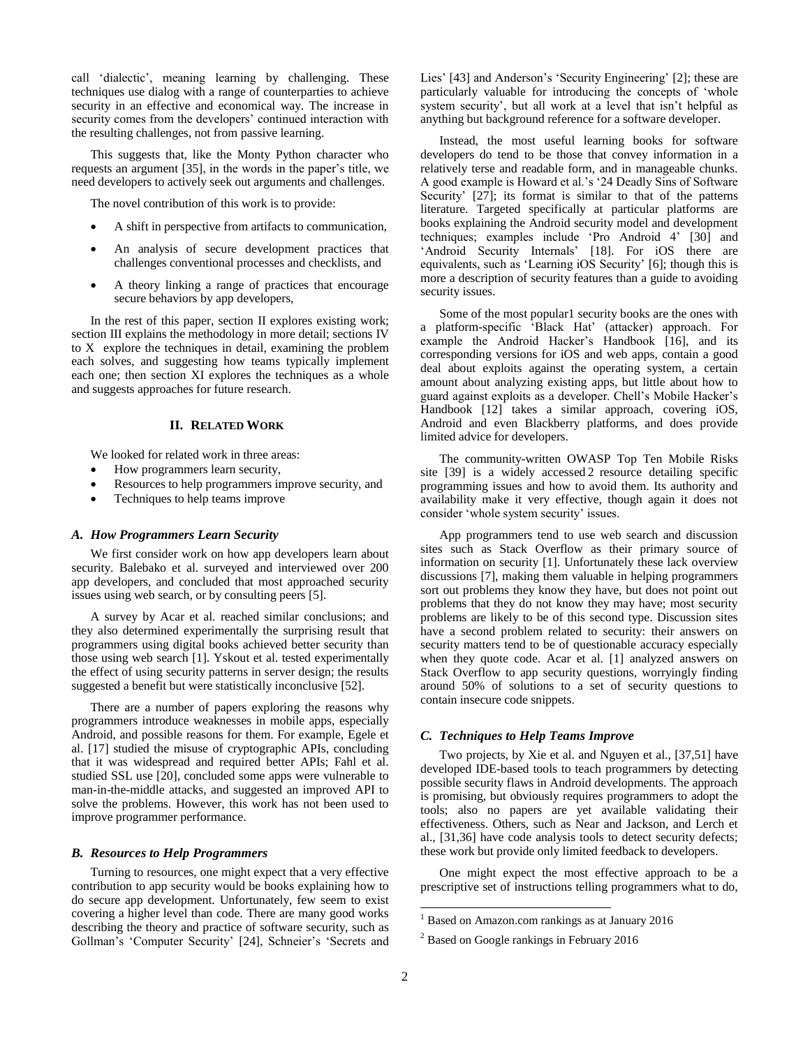call 'dialectic', meaning learning by challenging. These techniques use dialog with a range of counterparties to achieve security in an effective and economical way. The increase in security comes from the developers' continued interaction with the resulting challenges, not from passive learning.

This suggests that, like the Monty Python character who requests an argument [35], in the words in the paper's title, we need developers to actively seek out arguments and challenges.

The novel contribution of this work is to provide:

- A shift in perspective from artifacts to communication,
- An analysis of secure development practices that challenges conventional processes and checklists, and
- A theory linking a range of practices that encourage secure behaviors by app developers,

In the rest of this paper, section [II](#page-1-0) explores existing work; section [III](#page-2-0) explains the methodology in more detail; sections [IV](#page-2-1) to [X](#page-8-0) explore the techniques in detail, examining the problem each solves, and suggesting how teams typically implement each one; then section [XI](#page-9-0) explores the techniques as a whole and suggests approaches for future research.

#### **II. RELATED WORK**

<span id="page-1-0"></span>We looked for related work in three areas:

- How programmers learn security,
- Resources to help programmers improve security, and
- Techniques to help teams improve

#### *A. How Programmers Learn Security*

We first consider work on how app developers learn about security. Balebako et al. surveyed and interviewed over 200 app developers, and concluded that most approached security issues using web search, or by consulting peers [5].

A survey by Acar et al. reached similar conclusions; and they also determined experimentally the surprising result that programmers using digital books achieved better security than those using web search [1]. Yskout et al. tested experimentally the effect of using security patterns in server design; the results suggested a benefit but were statistically inconclusive [52].

There are a number of papers exploring the reasons why programmers introduce weaknesses in mobile apps, especially Android, and possible reasons for them. For example, Egele et al. [17] studied the misuse of cryptographic APIs, concluding that it was widespread and required better APIs; Fahl et al. studied SSL use [20], concluded some apps were vulnerable to man-in-the-middle attacks, and suggested an improved API to solve the problems. However, this work has not been used to improve programmer performance.

#### *B. Resources to Help Programmers*

Turning to resources, one might expect that a very effective contribution to app security would be books explaining how to do secure app development. Unfortunately, few seem to exist covering a higher level than code. There are many good works describing the theory and practice of software security, such as Gollman's 'Computer Security' [24], Schneier's 'Secrets and

Lies' [43] and Anderson's 'Security Engineering' [2]; these are particularly valuable for introducing the concepts of 'whole system security', but all work at a level that isn't helpful as anything but background reference for a software developer.

Instead, the most useful learning books for software developers do tend to be those that convey information in a relatively terse and readable form, and in manageable chunks. A good example is Howard et al.'s '24 Deadly Sins of Software Security' [27]; its format is similar to that of the patterns literature. Targeted specifically at particular platforms are books explaining the Android security model and development techniques; examples include 'Pro Android 4' [30] and 'Android Security Internals' [18]. For iOS there are equivalents, such as 'Learning iOS Security' [6]; though this is more a description of security features than a guide to avoiding security issues.

Some of the most popular1 security books are the ones with a platform-specific 'Black Hat' (attacker) approach. For example the Android Hacker's Handbook [16], and its corresponding versions for iOS and web apps, contain a good deal about exploits against the operating system, a certain amount about analyzing existing apps, but little about how to guard against exploits as a developer. Chell's Mobile Hacker's Handbook [12] takes a similar approach, covering iOS, Android and even Blackberry platforms, and does provide limited advice for developers.

The community-written OWASP Top Ten Mobile Risks site [39] is a widely accessed 2 resource detailing specific programming issues and how to avoid them. Its authority and availability make it very effective, though again it does not consider 'whole system security' issues.

App programmers tend to use web search and discussion sites such as Stack Overflow as their primary source of information on security [1]. Unfortunately these lack overview discussions [7], making them valuable in helping programmers sort out problems they know they have, but does not point out problems that they do not know they may have; most security problems are likely to be of this second type. Discussion sites have a second problem related to security: their answers on security matters tend to be of questionable accuracy especially when they quote code. Acar et al. [1] analyzed answers on Stack Overflow to app security questions, worryingly finding around 50% of solutions to a set of security questions to contain insecure code snippets.

# *C. Techniques to Help Teams Improve*

Two projects, by Xie et al. and Nguyen et al., [37,51] have developed IDE-based tools to teach programmers by detecting possible security flaws in Android developments. The approach is promising, but obviously requires programmers to adopt the tools; also no papers are yet available validating their effectiveness. Others, such as Near and Jackson, and Lerch et al., [31,36] have code analysis tools to detect security defects; these work but provide only limited feedback to developers.

One might expect the most effective approach to be a prescriptive set of instructions telling programmers what to do,

l

<sup>&</sup>lt;sup>1</sup> Based on Amazon.com rankings as at January 2016

<sup>&</sup>lt;sup>2</sup> Based on Google rankings in February 2016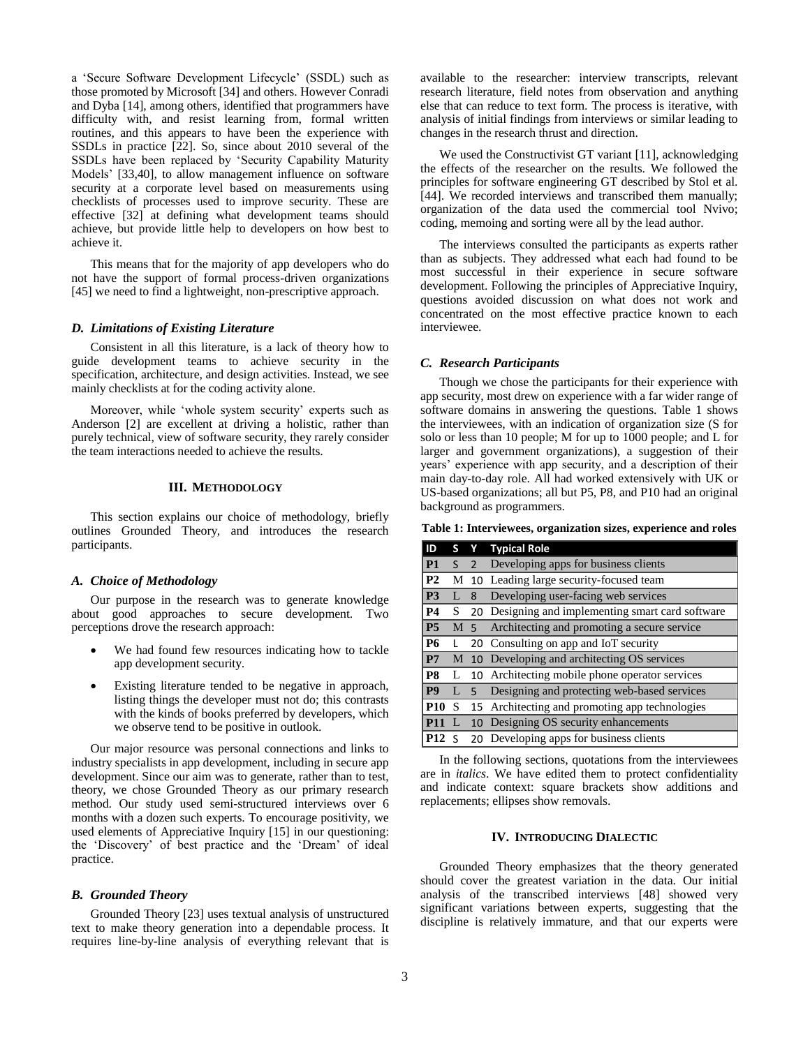a 'Secure Software Development Lifecycle' (SSDL) such as those promoted by Microsoft [34] and others. However Conradi and Dyba [14], among others, identified that programmers have difficulty with, and resist learning from, formal written routines, and this appears to have been the experience with SSDLs in practice [22]. So, since about 2010 several of the SSDLs have been replaced by 'Security Capability Maturity Models' [33,40], to allow management influence on software security at a corporate level based on measurements using checklists of processes used to improve security. These are effective [32] at defining what development teams should achieve, but provide little help to developers on how best to achieve it.

This means that for the majority of app developers who do not have the support of formal process-driven organizations [45] we need to find a lightweight, non-prescriptive approach.

## <span id="page-2-3"></span>*D. Limitations of Existing Literature*

Consistent in all this literature, is a lack of theory how to guide development teams to achieve security in the specification, architecture, and design activities. Instead, we see mainly checklists at for the coding activity alone.

Moreover, while 'whole system security' experts such as Anderson [2] are excellent at driving a holistic, rather than purely technical, view of software security, they rarely consider the team interactions needed to achieve the results.

# **III. METHODOLOGY**

<span id="page-2-0"></span>This section explains our choice of methodology, briefly outlines Grounded Theory, and introduces the research participants.

#### *A. Choice of Methodology*

Our purpose in the research was to generate knowledge about good approaches to secure development. Two perceptions drove the research approach:

- We had found few resources indicating how to tackle app development security.
- Existing literature tended to be negative in approach, listing things the developer must not do; this contrasts with the kinds of books preferred by developers, which we observe tend to be positive in outlook.

Our major resource was personal connections and links to industry specialists in app development, including in secure app development. Since our aim was to generate, rather than to test, theory, we chose Grounded Theory as our primary research method. Our study used semi-structured interviews over 6 months with a dozen such experts. To encourage positivity, we used elements of Appreciative Inquiry [15] in our questioning: the 'Discovery' of best practice and the 'Dream' of ideal practice.

#### *B. Grounded Theory*

Grounded Theory [23] uses textual analysis of unstructured text to make theory generation into a dependable process. It requires line-by-line analysis of everything relevant that is

available to the researcher: interview transcripts, relevant research literature, field notes from observation and anything else that can reduce to text form. The process is iterative, with analysis of initial findings from interviews or similar leading to changes in the research thrust and direction.

We used the Constructivist GT variant [11], acknowledging the effects of the researcher on the results. We followed the principles for software engineering GT described by Stol et al. [44]. We recorded interviews and transcribed them manually; organization of the data used the commercial tool Nvivo; coding, memoing and sorting were all by the lead author.

The interviews consulted the participants as experts rather than as subjects. They addressed what each had found to be most successful in their experience in secure software development. Following the principles of Appreciative Inquiry, questions avoided discussion on what does not work and concentrated on the most effective practice known to each interviewee.

## *C. Research Participants*

Though we chose the participants for their experience with app security, most drew on experience with a far wider range of software domains in answering the questions. [Table 1](#page-2-2) shows the interviewees, with an indication of organization size (S for solo or less than 10 people; M for up to 1000 people; and L for larger and government organizations), a suggestion of their years' experience with app security, and a description of their main day-to-day role. All had worked extensively with UK or US-based organizations; all but P5, P8, and P10 had an original background as programmers.

<span id="page-2-2"></span>**Table 1: Interviewees, organization sizes, experience and roles**

| ID             | S. | Y.             | <b>Typical Role</b>                               |
|----------------|----|----------------|---------------------------------------------------|
| P <sub>1</sub> | S. | $\overline{2}$ | Developing apps for business clients              |
| P <sub>2</sub> | М  |                | 10 Leading large security-focused team            |
| P <sub>3</sub> | L  | 8              | Developing user-facing web services               |
| <b>P4</b>      | S. |                | 20 Designing and implementing smart card software |
| <b>P5</b>      |    | M 5            | Architecting and promoting a secure service       |
| <b>P6</b>      |    |                | 20 Consulting on app and IoT security             |
| P7             | М  |                | 10 Developing and architecting OS services        |
| P <sub>8</sub> | L  |                | 10 Architecting mobile phone operator services    |
| <b>P9</b>      | L  | $5 -$          | Designing and protecting web-based services       |
| <b>P10</b>     | S  |                | 15 Architecting and promoting app technologies    |
| <b>P11</b>     |    |                | 10 Designing OS security enhancements             |
| P12S           |    |                | 20 Developing apps for business clients           |

In the following sections, quotations from the interviewees are in *italics*. We have edited them to protect confidentiality and indicate context: square brackets show additions and replacements; ellipses show removals.

### **IV. INTRODUCING DIALECTIC**

<span id="page-2-1"></span>Grounded Theory emphasizes that the theory generated should cover the greatest variation in the data. Our initial analysis of the transcribed interviews [48] showed very significant variations between experts, suggesting that the discipline is relatively immature, and that our experts were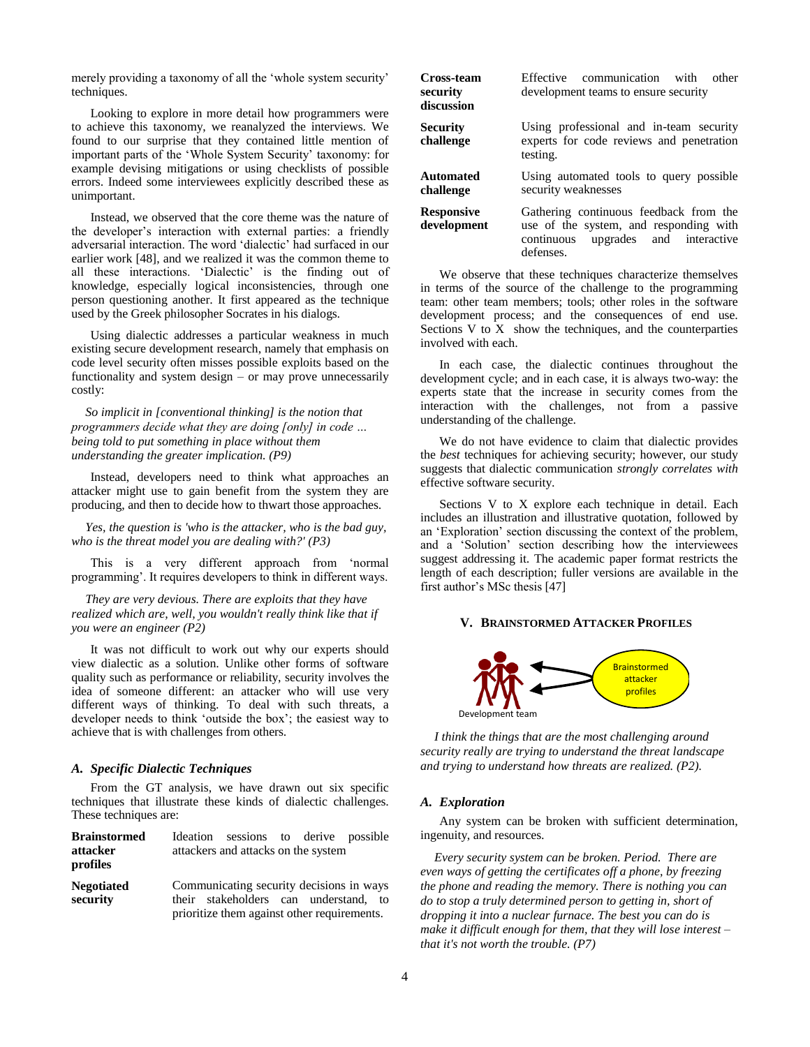merely providing a taxonomy of all the 'whole system security' techniques.

Looking to explore in more detail how programmers were to achieve this taxonomy, we reanalyzed the interviews. We found to our surprise that they contained little mention of important parts of the 'Whole System Security' taxonomy: for example devising mitigations or using checklists of possible errors. Indeed some interviewees explicitly described these as unimportant.

Instead, we observed that the core theme was the nature of the developer's interaction with external parties: a friendly adversarial interaction. The word 'dialectic' had surfaced in our earlier work [48], and we realized it was the common theme to all these interactions. 'Dialectic' is the finding out of knowledge, especially logical inconsistencies, through one person questioning another. It first appeared as the technique used by the Greek philosopher Socrates in his dialogs.

Using dialectic addresses a particular weakness in much existing secure development research, namely that emphasis on code level security often misses possible exploits based on the functionality and system design – or may prove unnecessarily costly:

*So implicit in [conventional thinking] is the notion that programmers decide what they are doing [only] in code … being told to put something in place without them understanding the greater implication. (P9)*

Instead, developers need to think what approaches an attacker might use to gain benefit from the system they are producing, and then to decide how to thwart those approaches.

*Yes, the question is 'who is the attacker, who is the bad guy, who is the threat model you are dealing with?' (P3)*

This is a very different approach from 'normal programming'. It requires developers to think in different ways.

*They are very devious. There are exploits that they have realized which are, well, you wouldn't really think like that if you were an engineer (P2)*

It was not difficult to work out why our experts should view dialectic as a solution. Unlike other forms of software quality such as performance or reliability, security involves the idea of someone different: an attacker who will use very different ways of thinking. To deal with such threats, a developer needs to think 'outside the box'; the easiest way to achieve that is with challenges from others.

#### *A. Specific Dialectic Techniques*

From the GT analysis, we have drawn out six specific techniques that illustrate these kinds of dialectic challenges. These techniques are:

| <b>Brainstormed</b> |                                          | Ideation sessions to derive possible                                                 |  |  |  |  |  |
|---------------------|------------------------------------------|--------------------------------------------------------------------------------------|--|--|--|--|--|
| attacker            | attackers and attacks on the system      |                                                                                      |  |  |  |  |  |
| profiles            |                                          |                                                                                      |  |  |  |  |  |
| <b>Negotiated</b>   | Communicating security decisions in ways |                                                                                      |  |  |  |  |  |
| security            |                                          | their stakeholders can understand, to<br>prioritize them against other requirements. |  |  |  |  |  |

| Cross-team                       | Effective communication with                                                                                                            |
|----------------------------------|-----------------------------------------------------------------------------------------------------------------------------------------|
| security                         | other                                                                                                                                   |
| discussion                       | development teams to ensure security                                                                                                    |
| <b>Security</b><br>challenge     | Using professional and in-team security<br>experts for code reviews and penetration<br>testing.                                         |
| Automated                        | Using automated tools to query possible                                                                                                 |
| challenge                        | security weaknesses                                                                                                                     |
| <b>Responsive</b><br>development | Gathering continuous feedback from the<br>use of the system, and responding with<br>upgrades and interactive<br>continuous<br>defenses. |

We observe that these techniques characterize themselves in terms of the source of the challenge to the programming team: other team members; tools; other roles in the software development process; and the consequences of end use. Sections  $V$  to  $\overline{X}$  show the techniques, and the counterparties involved with each.

In each case, the dialectic continues throughout the development cycle; and in each case, it is always two-way: the experts state that the increase in security comes from the interaction with the challenges, not from a passive understanding of the challenge.

We do not have evidence to claim that dialectic provides the *best* techniques for achieving security; however, our study suggests that dialectic communication *strongly correlates with* effective software security.

Sections [V](#page-3-0) to [X](#page-8-0) explore each technique in detail. Each includes an illustration and illustrative quotation, followed by an 'Exploration' section discussing the context of the problem, and a 'Solution' section describing how the interviewees suggest addressing it. The academic paper format restricts the length of each description; fuller versions are available in the first author's MSc thesis [47]

# <span id="page-3-0"></span>**V. BRAINSTORMED ATTACKER PROFILES**



*I think the things that are the most challenging around security really are trying to understand the threat landscape and trying to understand how threats are realized. (P2).*

#### *A. Exploration*

Any system can be broken with sufficient determination, ingenuity, and resources.

*Every security system can be broken. Period. There are even ways of getting the certificates off a phone, by freezing the phone and reading the memory. There is nothing you can do to stop a truly determined person to getting in, short of dropping it into a nuclear furnace. The best you can do is make it difficult enough for them, that they will lose interest – that it's not worth the trouble. (P7)*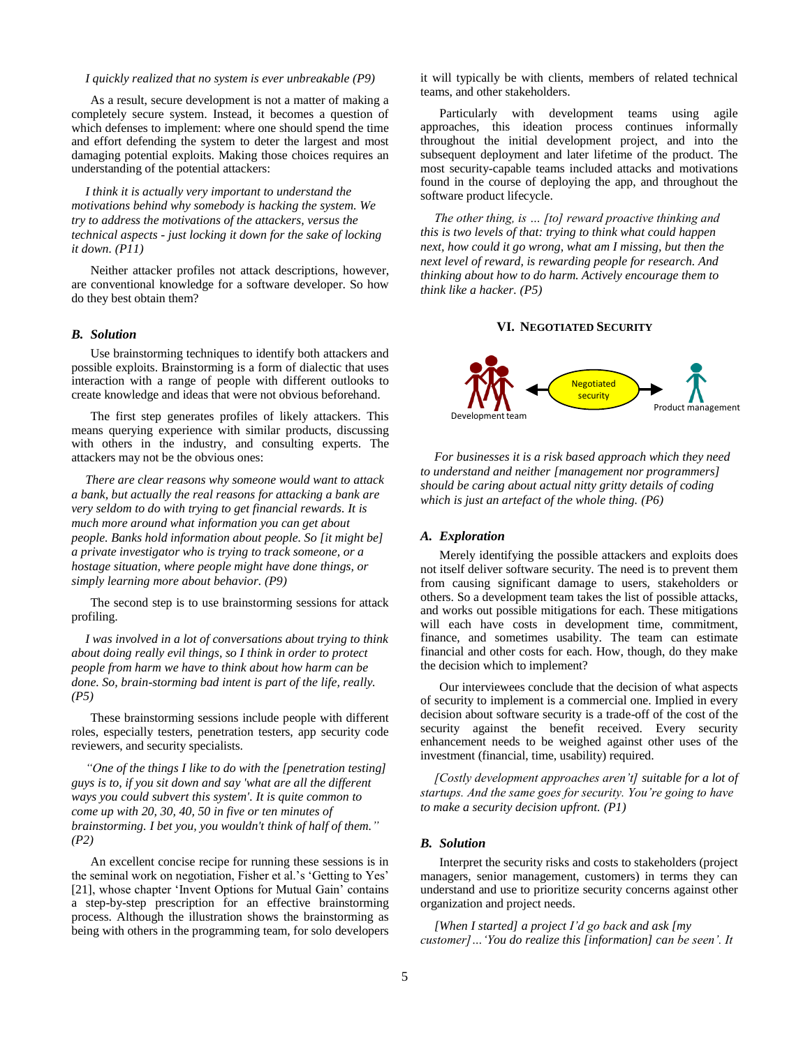#### *I quickly realized that no system is ever unbreakable (P9)*

As a result, secure development is not a matter of making a completely secure system. Instead, it becomes a question of which defenses to implement: where one should spend the time and effort defending the system to deter the largest and most damaging potential exploits. Making those choices requires an understanding of the potential attackers:

*I think it is actually very important to understand the motivations behind why somebody is hacking the system. We try to address the motivations of the attackers, versus the technical aspects - just locking it down for the sake of locking it down. (P11)*

Neither attacker profiles not attack descriptions, however, are conventional knowledge for a software developer. So how do they best obtain them?

## *B. Solution*

Use brainstorming techniques to identify both attackers and possible exploits. Brainstorming is a form of dialectic that uses interaction with a range of people with different outlooks to create knowledge and ideas that were not obvious beforehand.

The first step generates profiles of likely attackers. This means querying experience with similar products, discussing with others in the industry, and consulting experts. The attackers may not be the obvious ones:

*There are clear reasons why someone would want to attack a bank, but actually the real reasons for attacking a bank are very seldom to do with trying to get financial rewards. It is much more around what information you can get about people. Banks hold information about people. So [it might be] a private investigator who is trying to track someone, or a hostage situation, where people might have done things, or simply learning more about behavior. (P9)*

The second step is to use brainstorming sessions for attack profiling.

*I was involved in a lot of conversations about trying to think about doing really evil things, so I think in order to protect people from harm we have to think about how harm can be done. So, brain-storming bad intent is part of the life, really. (P5)*

These brainstorming sessions include people with different roles, especially testers, penetration testers, app security code reviewers, and security specialists.

*"One of the things I like to do with the [penetration testing] guys is to, if you sit down and say 'what are all the different ways you could subvert this system'. It is quite common to come up with 20, 30, 40, 50 in five or ten minutes of brainstorming. I bet you, you wouldn't think of half of them." (P2)* 

An excellent concise recipe for running these sessions is in the seminal work on negotiation, Fisher et al.'s 'Getting to Yes' [21], whose chapter 'Invent Options for Mutual Gain' contains a step-by-step prescription for an effective brainstorming process. Although the illustration shows the brainstorming as being with others in the programming team, for solo developers it will typically be with clients, members of related technical teams, and other stakeholders.

Particularly with development teams using agile approaches, this ideation process continues informally throughout the initial development project, and into the subsequent deployment and later lifetime of the product. The most security-capable teams included attacks and motivations found in the course of deploying the app, and throughout the software product lifecycle.

*The other thing, is … [to] reward proactive thinking and this is two levels of that: trying to think what could happen next, how could it go wrong, what am I missing, but then the next level of reward, is rewarding people for research. And thinking about how to do harm. Actively encourage them to think like a hacker. (P5)*

## **VI. NEGOTIATED SECURITY**



*For businesses it is a risk based approach which they need to understand and neither [management nor programmers] should be caring about actual nitty gritty details of coding which is just an artefact of the whole thing. (P6)*

#### *A. Exploration*

Merely identifying the possible attackers and exploits does not itself deliver software security. The need is to prevent them from causing significant damage to users, stakeholders or others. So a development team takes the list of possible attacks, and works out possible mitigations for each. These mitigations will each have costs in development time, commitment, finance, and sometimes usability. The team can estimate financial and other costs for each. How, though, do they make the decision which to implement?

Our interviewees conclude that the decision of what aspects of security to implement is a commercial one. Implied in every decision about software security is a trade-off of the cost of the security against the benefit received. Every security enhancement needs to be weighed against other uses of the investment (financial, time, usability) required.

*[Costly development approaches aren't] suitable for a lot of startups. And the same goes for security. You're going to have to make a security decision upfront. (P1)*

# *B. Solution*

Interpret the security risks and costs to stakeholders (project managers, senior management, customers) in terms they can understand and use to prioritize security concerns against other organization and project needs.

*[When I started] a project I'd go back and ask [my customer]…'You do realize this [information] can be seen'. It*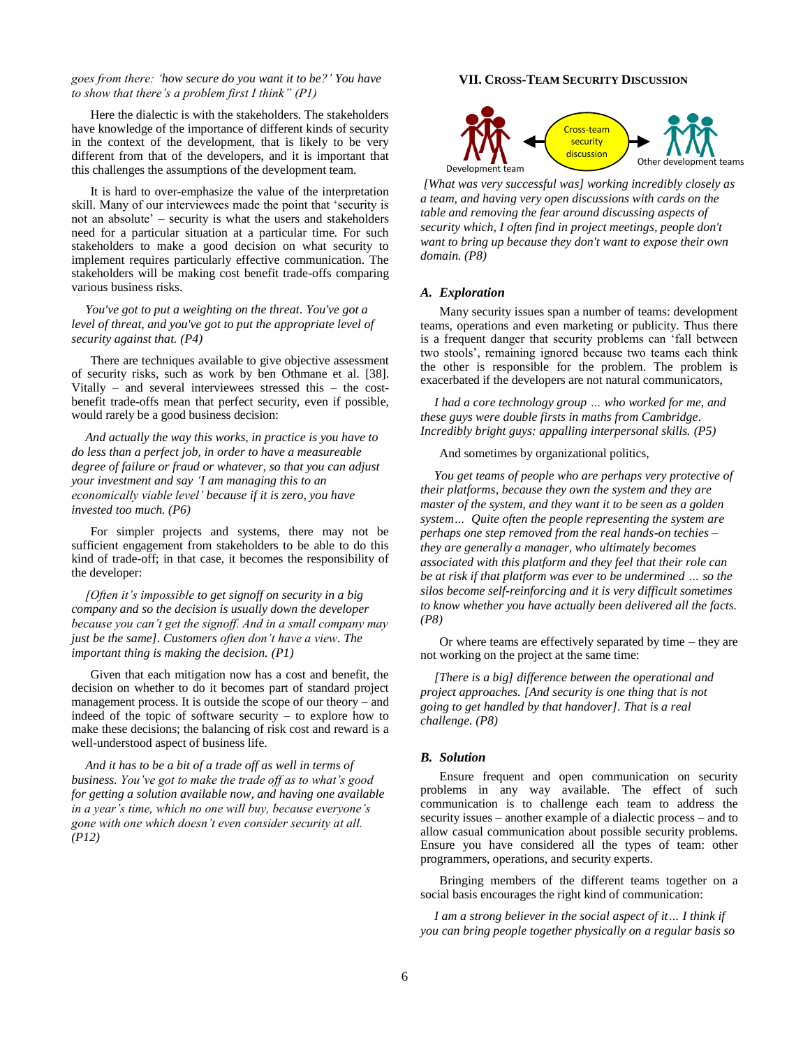## *goes from there: 'how secure do you want it to be?' You have to show that there's a problem first I think" (P1)*

Here the dialectic is with the stakeholders. The stakeholders have knowledge of the importance of different kinds of security in the context of the development, that is likely to be very different from that of the developers, and it is important that this challenges the assumptions of the development team.

It is hard to over-emphasize the value of the interpretation skill. Many of our interviewees made the point that 'security is not an absolute' – security is what the users and stakeholders need for a particular situation at a particular time. For such stakeholders to make a good decision on what security to implement requires particularly effective communication. The stakeholders will be making cost benefit trade-offs comparing various business risks.

*You've got to put a weighting on the threat. You've got a level of threat, and you've got to put the appropriate level of security against that. (P4)*

There are techniques available to give objective assessment of security risks, such as work by ben Othmane et al. [38]. Vitally – and several interviewees stressed this – the costbenefit trade-offs mean that perfect security, even if possible, would rarely be a good business decision:

*And actually the way this works, in practice is you have to do less than a perfect job, in order to have a measureable degree of failure or fraud or whatever, so that you can adjust your investment and say 'I am managing this to an economically viable level' because if it is zero, you have invested too much. (P6)*

For simpler projects and systems, there may not be sufficient engagement from stakeholders to be able to do this kind of trade-off; in that case, it becomes the responsibility of the developer:

*[Often it's impossible to get signoff on security in a big company and so the decision is usually down the developer because you can't get the signoff. And in a small company may just be the same]. Customers often don't have a view. The important thing is making the decision. (P1)*

Given that each mitigation now has a cost and benefit, the decision on whether to do it becomes part of standard project management process. It is outside the scope of our theory – and indeed of the topic of software security – to explore how to make these decisions; the balancing of risk cost and reward is a well-understood aspect of business life.

*And it has to be a bit of a trade off as well in terms of business. You've got to make the trade off as to what's good for getting a solution available now, and having one available in a year's time, which no one will buy, because everyone's gone with one which doesn't even consider security at all. (P12)*

## **VII. CROSS-TEAM SECURITY DISCUSSION**



*[What was very successful was] working incredibly closely as a team, and having very open discussions with cards on the table and removing the fear around discussing aspects of security which, I often find in project meetings, people don't want to bring up because they don't want to expose their own domain. (P8)*

#### *A. Exploration*

Many security issues span a number of teams: development teams, operations and even marketing or publicity. Thus there is a frequent danger that security problems can 'fall between two stools', remaining ignored because two teams each think the other is responsible for the problem. The problem is exacerbated if the developers are not natural communicators,

*I had a core technology group … who worked for me, and these guys were double firsts in maths from Cambridge. Incredibly bright guys: appalling interpersonal skills. (P5)*

And sometimes by organizational politics,

*You get teams of people who are perhaps very protective of their platforms, because they own the system and they are master of the system, and they want it to be seen as a golden system… Quite often the people representing the system are perhaps one step removed from the real hands-on techies – they are generally a manager, who ultimately becomes associated with this platform and they feel that their role can be at risk if that platform was ever to be undermined … so the silos become self-reinforcing and it is very difficult sometimes to know whether you have actually been delivered all the facts. (P8)*

Or where teams are effectively separated by time – they are not working on the project at the same time:

*[There is a big] difference between the operational and project approaches. [And security is one thing that is not going to get handled by that handover]. That is a real challenge. (P8)*

## *B. Solution*

Ensure frequent and open communication on security problems in any way available. The effect of such communication is to challenge each team to address the security issues – another example of a dialectic process – and to allow casual communication about possible security problems. Ensure you have considered all the types of team: other programmers, operations, and security experts.

Bringing members of the different teams together on a social basis encourages the right kind of communication:

*I am a strong believer in the social aspect of it… I think if you can bring people together physically on a regular basis so*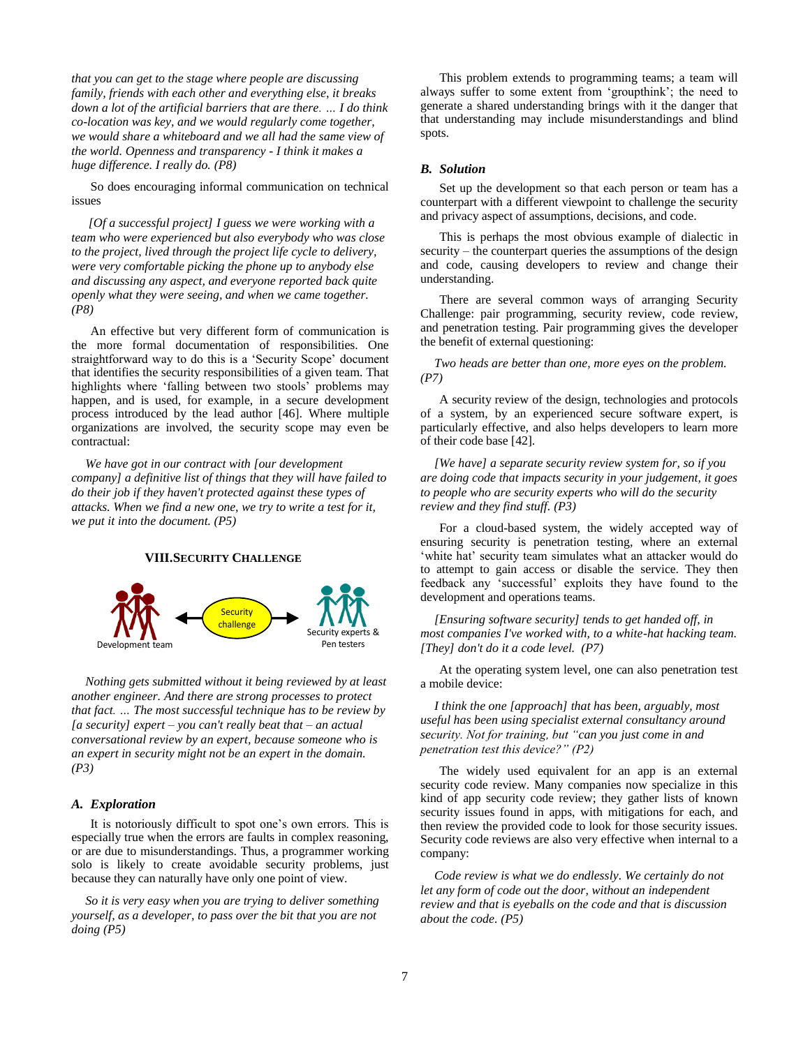*that you can get to the stage where people are discussing family, friends with each other and everything else, it breaks down a lot of the artificial barriers that are there. … I do think co-location was key, and we would regularly come together, we would share a whiteboard and we all had the same view of the world. Openness and transparency - I think it makes a huge difference. I really do. (P8)*

So does encouraging informal communication on technical issues

*[Of a successful project] I guess we were working with a team who were experienced but also everybody who was close to the project, lived through the project life cycle to delivery, were very comfortable picking the phone up to anybody else and discussing any aspect, and everyone reported back quite openly what they were seeing, and when we came together. (P8)*

An effective but very different form of communication is the more formal documentation of responsibilities. One straightforward way to do this is a 'Security Scope' document that identifies the security responsibilities of a given team. That highlights where 'falling between two stools' problems may happen, and is used, for example, in a secure development process introduced by the lead author [46]. Where multiple organizations are involved, the security scope may even be contractual:

*We have got in our contract with [our development company] a definitive list of things that they will have failed to do their job if they haven't protected against these types of attacks. When we find a new one, we try to write a test for it, we put it into the document. (P5)*

### **VIII.SECURITY CHALLENGE**



*Nothing gets submitted without it being reviewed by at least another engineer. And there are strong processes to protect that fact. … The most successful technique has to be review by [a security] expert – you can't really beat that – an actual conversational review by an expert, because someone who is an expert in security might not be an expert in the domain. (P3)*

# *A. Exploration*

It is notoriously difficult to spot one's own errors. This is especially true when the errors are faults in complex reasoning, or are due to misunderstandings. Thus, a programmer working solo is likely to create avoidable security problems, just because they can naturally have only one point of view.

*So it is very easy when you are trying to deliver something yourself, as a developer, to pass over the bit that you are not doing (P5)*

This problem extends to programming teams; a team will always suffer to some extent from 'groupthink'; the need to generate a shared understanding brings with it the danger that that understanding may include misunderstandings and blind spots.

### *B. Solution*

Set up the development so that each person or team has a counterpart with a different viewpoint to challenge the security and privacy aspect of assumptions, decisions, and code.

This is perhaps the most obvious example of dialectic in security – the counterpart queries the assumptions of the design and code, causing developers to review and change their understanding.

There are several common ways of arranging Security Challenge: pair programming, security review, code review, and penetration testing. Pair programming gives the developer the benefit of external questioning:

# *Two heads are better than one, more eyes on the problem. (P7)*

A security review of the design, technologies and protocols of a system, by an experienced secure software expert, is particularly effective, and also helps developers to learn more of their code base [42].

*[We have] a separate security review system for, so if you are doing code that impacts security in your judgement, it goes to people who are security experts who will do the security review and they find stuff. (P3)*

For a cloud-based system, the widely accepted way of ensuring security is penetration testing, where an external 'white hat' security team simulates what an attacker would do to attempt to gain access or disable the service. They then feedback any 'successful' exploits they have found to the development and operations teams.

*[Ensuring software security] tends to get handed off, in most companies I've worked with, to a white-hat hacking team. [They] don't do it a code level. (P7)*

At the operating system level, one can also penetration test a mobile device:

*I think the one [approach] that has been, arguably, most useful has been using specialist external consultancy around security. Not for training, but "can you just come in and penetration test this device?" (P2)*

The widely used equivalent for an app is an external security code review. Many companies now specialize in this kind of app security code review; they gather lists of known security issues found in apps, with mitigations for each, and then review the provided code to look for those security issues. Security code reviews are also very effective when internal to a company:

*Code review is what we do endlessly. We certainly do not let any form of code out the door, without an independent review and that is eyeballs on the code and that is discussion about the code. (P5)*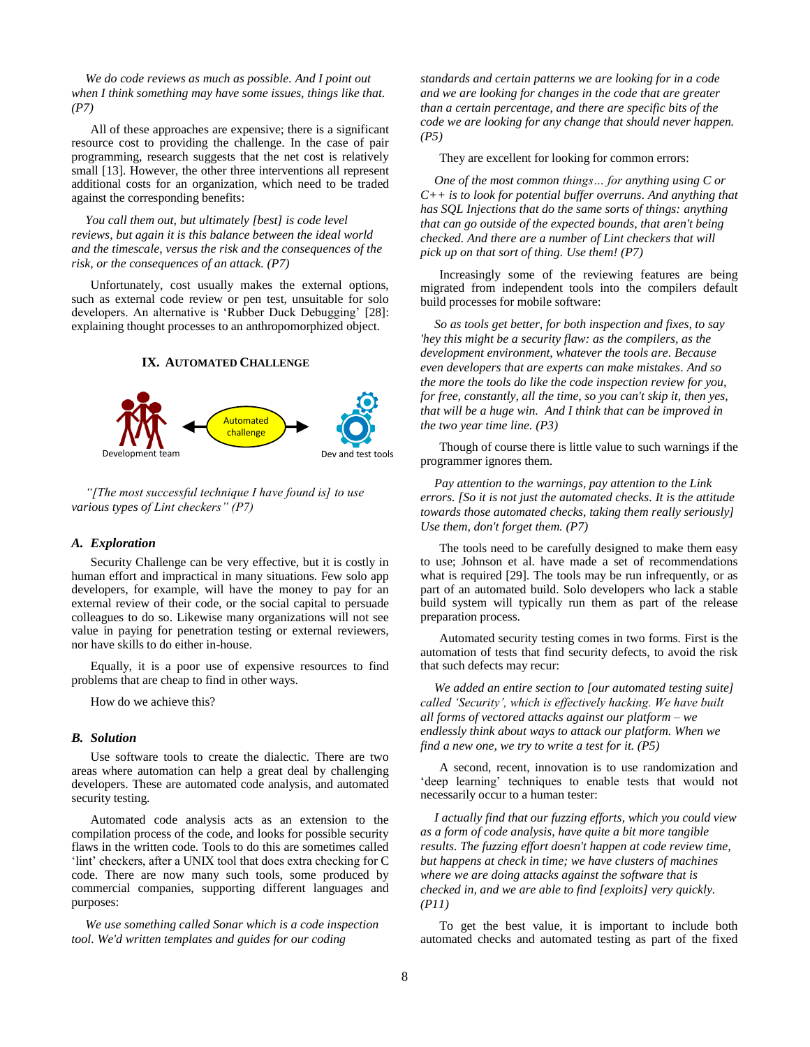*We do code reviews as much as possible. And I point out when I think something may have some issues, things like that. (P7)*

All of these approaches are expensive; there is a significant resource cost to providing the challenge. In the case of pair programming, research suggests that the net cost is relatively small [13]. However, the other three interventions all represent additional costs for an organization, which need to be traded against the corresponding benefits:

*You call them out, but ultimately [best] is code level reviews, but again it is this balance between the ideal world and the timescale, versus the risk and the consequences of the risk, or the consequences of an attack. (P7)*

Unfortunately, cost usually makes the external options, such as external code review or pen test, unsuitable for solo developers. An alternative is 'Rubber Duck Debugging' [28]: explaining thought processes to an anthropomorphized object.

# **IX. AUTOMATED CHALLENGE**



*"[The most successful technique I have found is] to use various types of Lint checkers" (P7)*

### *A. Exploration*

Security Challenge can be very effective, but it is costly in human effort and impractical in many situations. Few solo app developers, for example, will have the money to pay for an external review of their code, or the social capital to persuade colleagues to do so. Likewise many organizations will not see value in paying for penetration testing or external reviewers, nor have skills to do either in-house.

Equally, it is a poor use of expensive resources to find problems that are cheap to find in other ways.

How do we achieve this?

#### *B. Solution*

Use software tools to create the dialectic. There are two areas where automation can help a great deal by challenging developers. These are automated code analysis, and automated security testing.

Automated code analysis acts as an extension to the compilation process of the code, and looks for possible security flaws in the written code. Tools to do this are sometimes called 'lint' checkers, after a UNIX tool that does extra checking for C code. There are now many such tools, some produced by commercial companies, supporting different languages and purposes:

*We use something called Sonar which is a code inspection tool. We'd written templates and guides for our coding* 

*standards and certain patterns we are looking for in a code and we are looking for changes in the code that are greater than a certain percentage, and there are specific bits of the code we are looking for any change that should never happen. (P5)*

They are excellent for looking for common errors:

*One of the most common things… for anything using C or C++ is to look for potential buffer overruns. And anything that has SQL Injections that do the same sorts of things: anything that can go outside of the expected bounds, that aren't being checked. And there are a number of Lint checkers that will pick up on that sort of thing. Use them! (P7)*

Increasingly some of the reviewing features are being migrated from independent tools into the compilers default build processes for mobile software:

*So as tools get better, for both inspection and fixes, to say 'hey this might be a security flaw: as the compilers, as the development environment, whatever the tools are. Because even developers that are experts can make mistakes. And so the more the tools do like the code inspection review for you, for free, constantly, all the time, so you can't skip it, then yes, that will be a huge win. And I think that can be improved in the two year time line. (P3)*

Though of course there is little value to such warnings if the programmer ignores them.

*Pay attention to the warnings, pay attention to the Link errors. [So it is not just the automated checks. It is the attitude towards those automated checks, taking them really seriously] Use them, don't forget them. (P7)*

The tools need to be carefully designed to make them easy to use; Johnson et al. have made a set of recommendations what is required [29]. The tools may be run infrequently, or as part of an automated build. Solo developers who lack a stable build system will typically run them as part of the release preparation process.

Automated security testing comes in two forms. First is the automation of tests that find security defects, to avoid the risk that such defects may recur:

*We added an entire section to [our automated testing suite] called 'Security', which is effectively hacking. We have built all forms of vectored attacks against our platform – we endlessly think about ways to attack our platform. When we find a new one, we try to write a test for it. (P5)*

A second, recent, innovation is to use randomization and 'deep learning' techniques to enable tests that would not necessarily occur to a human tester:

*I actually find that our fuzzing efforts, which you could view as a form of code analysis, have quite a bit more tangible results. The fuzzing effort doesn't happen at code review time, but happens at check in time; we have clusters of machines where we are doing attacks against the software that is checked in, and we are able to find [exploits] very quickly. (P11)* 

To get the best value, it is important to include both automated checks and automated testing as part of the fixed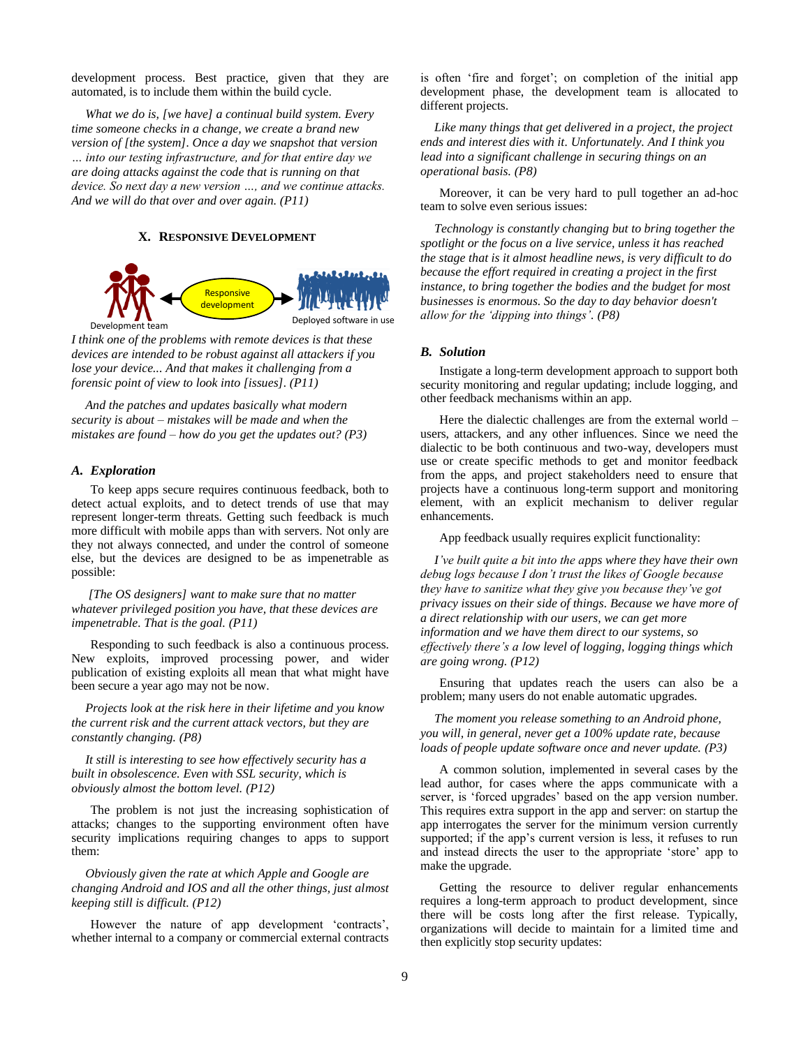development process. Best practice, given that they are automated, is to include them within the build cycle.

*What we do is, [we have] a continual build system. Every time someone checks in a change, we create a brand new version of [the system]. Once a day we snapshot that version … into our testing infrastructure, and for that entire day we are doing attacks against the code that is running on that device. So next day a new version …, and we continue attacks. And we will do that over and over again. (P11)*

## **X. RESPONSIVE DEVELOPMENT**

<span id="page-8-0"></span>

*I think one of the problems with remote devices is that these devices are intended to be robust against all attackers if you lose your device... And that makes it challenging from a forensic point of view to look into [issues]. (P11)*

*And the patches and updates basically what modern security is about – mistakes will be made and when the mistakes are found – how do you get the updates out? (P3)*

# *A. Exploration*

To keep apps secure requires continuous feedback, both to detect actual exploits, and to detect trends of use that may represent longer-term threats. Getting such feedback is much more difficult with mobile apps than with servers. Not only are they not always connected, and under the control of someone else, but the devices are designed to be as impenetrable as possible:

*[The OS designers] want to make sure that no matter whatever privileged position you have, that these devices are impenetrable. That is the goal. (P11)*

Responding to such feedback is also a continuous process. New exploits, improved processing power, and wider publication of existing exploits all mean that what might have been secure a year ago may not be now.

*Projects look at the risk here in their lifetime and you know the current risk and the current attack vectors, but they are constantly changing. (P8)*

*It still is interesting to see how effectively security has a built in obsolescence. Even with SSL security, which is obviously almost the bottom level. (P12)*

The problem is not just the increasing sophistication of attacks; changes to the supporting environment often have security implications requiring changes to apps to support them:

*Obviously given the rate at which Apple and Google are changing Android and IOS and all the other things, just almost keeping still is difficult. (P12)*

However the nature of app development 'contracts', whether internal to a company or commercial external contracts

is often 'fire and forget'; on completion of the initial app development phase, the development team is allocated to different projects.

*Like many things that get delivered in a project, the project ends and interest dies with it. Unfortunately. And I think you lead into a significant challenge in securing things on an operational basis. (P8)*

Moreover, it can be very hard to pull together an ad-hoc team to solve even serious issues:

*Technology is constantly changing but to bring together the spotlight or the focus on a live service, unless it has reached the stage that is it almost headline news, is very difficult to do because the effort required in creating a project in the first instance, to bring together the bodies and the budget for most businesses is enormous. So the day to day behavior doesn't allow for the 'dipping into things'. (P8)*

## *B. Solution*

Instigate a long-term development approach to support both security monitoring and regular updating; include logging, and other feedback mechanisms within an app.

Here the dialectic challenges are from the external world – users, attackers, and any other influences. Since we need the dialectic to be both continuous and two-way, developers must use or create specific methods to get and monitor feedback from the apps, and project stakeholders need to ensure that projects have a continuous long-term support and monitoring element, with an explicit mechanism to deliver regular enhancements.

App feedback usually requires explicit functionality:

*I've built quite a bit into the apps where they have their own debug logs because I don't trust the likes of Google because they have to sanitize what they give you because they've got privacy issues on their side of things. Because we have more of a direct relationship with our users, we can get more information and we have them direct to our systems, so effectively there's a low level of logging, logging things which are going wrong. (P12)*

Ensuring that updates reach the users can also be a problem; many users do not enable automatic upgrades.

*The moment you release something to an Android phone, you will, in general, never get a 100% update rate, because loads of people update software once and never update. (P3)*

A common solution, implemented in several cases by the lead author, for cases where the apps communicate with a server, is 'forced upgrades' based on the app version number. This requires extra support in the app and server: on startup the app interrogates the server for the minimum version currently supported; if the app's current version is less, it refuses to run and instead directs the user to the appropriate 'store' app to make the upgrade.

Getting the resource to deliver regular enhancements requires a long-term approach to product development, since there will be costs long after the first release. Typically, organizations will decide to maintain for a limited time and then explicitly stop security updates: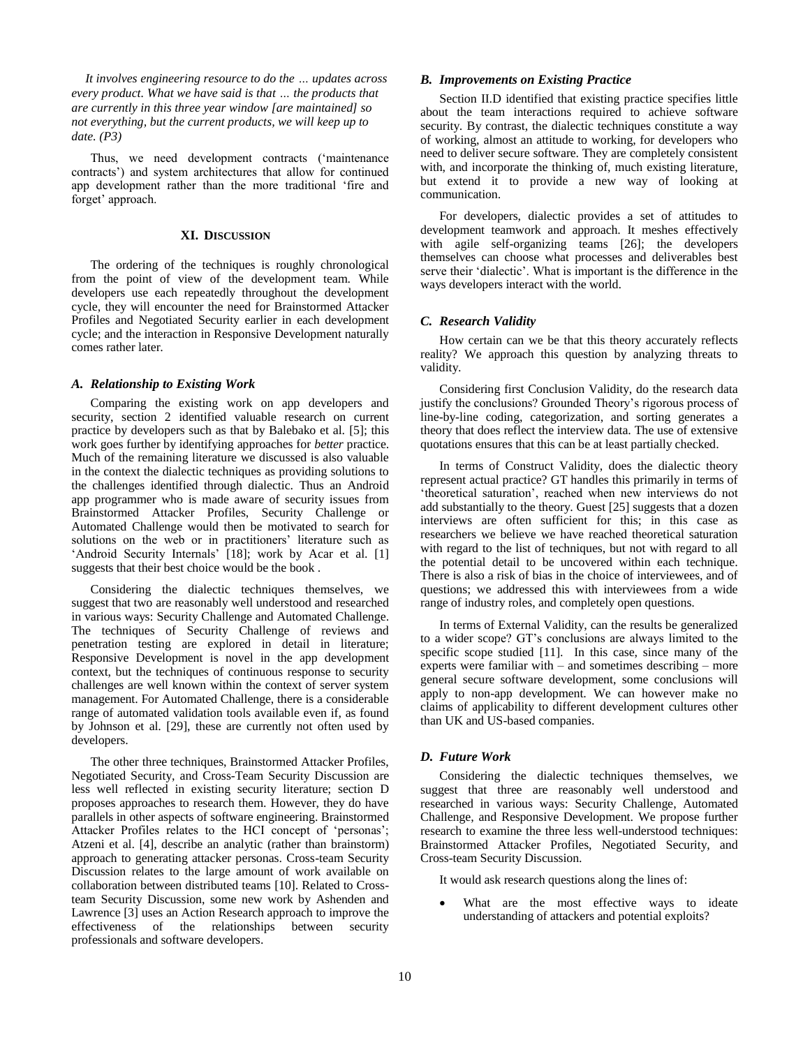*It involves engineering resource to do the … updates across every product. What we have said is that … the products that are currently in this three year window [are maintained] so not everything, but the current products, we will keep up to date. (P3)*

Thus, we need development contracts ('maintenance contracts') and system architectures that allow for continued app development rather than the more traditional 'fire and forget' approach.

#### **XI. DISCUSSION**

<span id="page-9-0"></span>The ordering of the techniques is roughly chronological from the point of view of the development team. While developers use each repeatedly throughout the development cycle, they will encounter the need for Brainstormed Attacker Profiles and Negotiated Security earlier in each development cycle; and the interaction in Responsive Development naturally comes rather later.

#### *A. Relationship to Existing Work*

Comparing the existing work on app developers and security, section [2](#page-1-0) identified valuable research on current practice by developers such as that by Balebako et al. [5]; this work goes further by identifying approaches for *better* practice. Much of the remaining literature we discussed is also valuable in the context the dialectic techniques as providing solutions to the challenges identified through dialectic. Thus an Android app programmer who is made aware of security issues from Brainstormed Attacker Profiles, Security Challenge or Automated Challenge would then be motivated to search for solutions on the web or in practitioners' literature such as 'Android Security Internals' [18]; work by Acar et al. [1] suggests that their best choice would be the book .

Considering the dialectic techniques themselves, we suggest that two are reasonably well understood and researched in various ways: Security Challenge and Automated Challenge. The techniques of Security Challenge of reviews and penetration testing are explored in detail in literature; Responsive Development is novel in the app development context, but the techniques of continuous response to security challenges are well known within the context of server system management. For Automated Challenge, there is a considerable range of automated validation tools available even if, as found by Johnson et al. [29], these are currently not often used by developers.

The other three techniques, Brainstormed Attacker Profiles, Negotiated Security, and Cross-Team Security Discussion are less well reflected in existing security literature; section [D](#page-9-1) proposes approaches to research them. However, they do have parallels in other aspects of software engineering. Brainstormed Attacker Profiles relates to the HCI concept of 'personas'; Atzeni et al. [4], describe an analytic (rather than brainstorm) approach to generating attacker personas. Cross-team Security Discussion relates to the large amount of work available on collaboration between distributed teams [10]. Related to Crossteam Security Discussion, some new work by Ashenden and Lawrence [3] uses an Action Research approach to improve the effectiveness of the relationships between security professionals and software developers.

# *B. Improvements on Existing Practice*

Section [II.D](#page-2-3) identified that existing practice specifies little about the team interactions required to achieve software security. By contrast, the dialectic techniques constitute a way of working, almost an attitude to working, for developers who need to deliver secure software. They are completely consistent with, and incorporate the thinking of, much existing literature, but extend it to provide a new way of looking at communication.

For developers, dialectic provides a set of attitudes to development teamwork and approach. It meshes effectively with agile self-organizing teams [26]; the developers themselves can choose what processes and deliverables best serve their 'dialectic'. What is important is the difference in the ways developers interact with the world.

### *C. Research Validity*

How certain can we be that this theory accurately reflects reality? We approach this question by analyzing threats to validity.

Considering first Conclusion Validity, do the research data justify the conclusions? Grounded Theory's rigorous process of line-by-line coding, categorization, and sorting generates a theory that does reflect the interview data. The use of extensive quotations ensures that this can be at least partially checked.

In terms of Construct Validity, does the dialectic theory represent actual practice? GT handles this primarily in terms of 'theoretical saturation', reached when new interviews do not add substantially to the theory. Guest [25] suggests that a dozen interviews are often sufficient for this; in this case as researchers we believe we have reached theoretical saturation with regard to the list of techniques, but not with regard to all the potential detail to be uncovered within each technique. There is also a risk of bias in the choice of interviewees, and of questions; we addressed this with interviewees from a wide range of industry roles, and completely open questions.

In terms of External Validity, can the results be generalized to a wider scope? GT's conclusions are always limited to the specific scope studied [11]. In this case, since many of the experts were familiar with – and sometimes describing – more general secure software development, some conclusions will apply to non-app development. We can however make no claims of applicability to different development cultures other than UK and US-based companies.

## <span id="page-9-1"></span>*D. Future Work*

Considering the dialectic techniques themselves, we suggest that three are reasonably well understood and researched in various ways: Security Challenge, Automated Challenge, and Responsive Development. We propose further research to examine the three less well-understood techniques: Brainstormed Attacker Profiles, Negotiated Security, and Cross-team Security Discussion.

It would ask research questions along the lines of:

 What are the most effective ways to ideate understanding of attackers and potential exploits?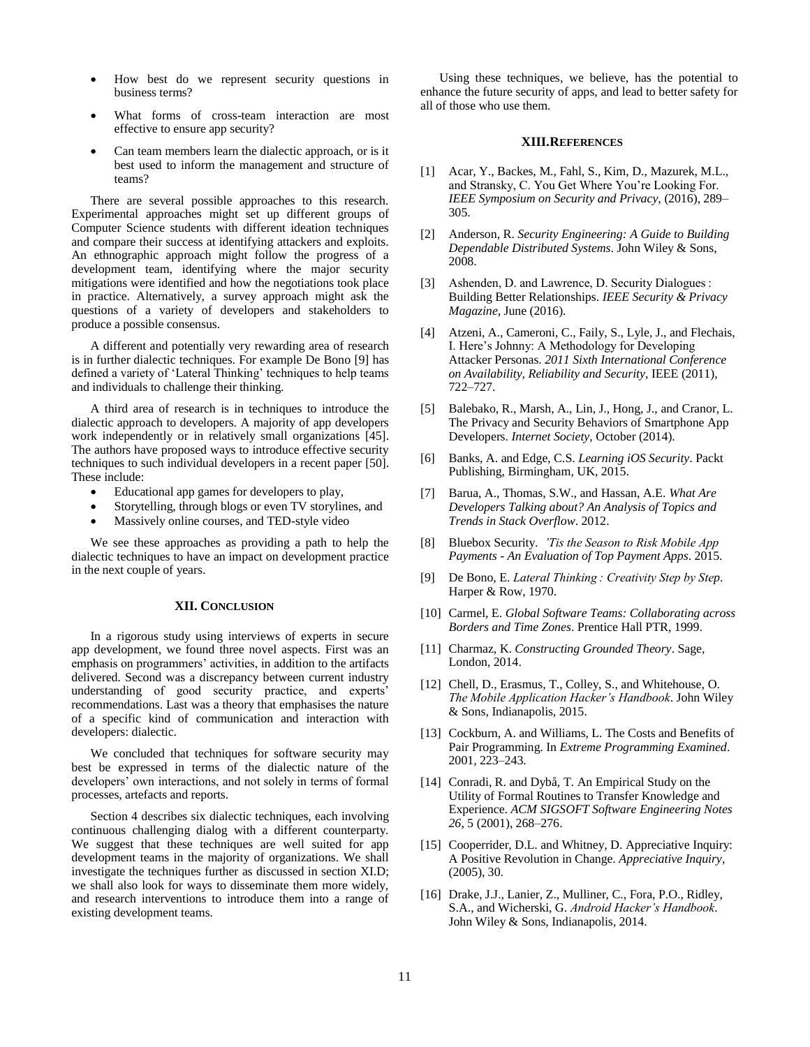- How best do we represent security questions in business terms?
- What forms of cross-team interaction are most effective to ensure app security?
- Can team members learn the dialectic approach, or is it best used to inform the management and structure of teams?

There are several possible approaches to this research. Experimental approaches might set up different groups of Computer Science students with different ideation techniques and compare their success at identifying attackers and exploits. An ethnographic approach might follow the progress of a development team, identifying where the major security mitigations were identified and how the negotiations took place in practice. Alternatively, a survey approach might ask the questions of a variety of developers and stakeholders to produce a possible consensus.

A different and potentially very rewarding area of research is in further dialectic techniques. For example De Bono [9] has defined a variety of 'Lateral Thinking' techniques to help teams and individuals to challenge their thinking.

A third area of research is in techniques to introduce the dialectic approach to developers. A majority of app developers work independently or in relatively small organizations [45]. The authors have proposed ways to introduce effective security techniques to such individual developers in a recent paper [50]. These include:

- Educational app games for developers to play,
- Storytelling, through blogs or even TV storylines, and
- Massively online courses, and TED-style video

We see these approaches as providing a path to help the dialectic techniques to have an impact on development practice in the next couple of years.

#### **XII. CONCLUSION**

In a rigorous study using interviews of experts in secure app development, we found three novel aspects. First was an emphasis on programmers' activities, in addition to the artifacts delivered. Second was a discrepancy between current industry understanding of good security practice, and experts' recommendations. Last was a theory that emphasises the nature of a specific kind of communication and interaction with developers: dialectic.

We concluded that techniques for software security may best be expressed in terms of the dialectic nature of the developers' own interactions, and not solely in terms of formal processes, artefacts and reports.

Section 4 describes six dialectic techniques, each involving continuous challenging dialog with a different counterparty. We suggest that these techniques are well suited for app development teams in the majority of organizations. We shall investigate the techniques further as discussed in section [XI.D;](#page-9-1) we shall also look for ways to disseminate them more widely, and research interventions to introduce them into a range of existing development teams.

Using these techniques, we believe, has the potential to enhance the future security of apps, and lead to better safety for all of those who use them.

#### **XIII.REFERENCES**

- [1] Acar, Y., Backes, M., Fahl, S., Kim, D., Mazurek, M.L., and Stransky, C. You Get Where You're Looking For. *IEEE Symposium on Security and Privacy*, (2016), 289– 305.
- [2] Anderson, R. *Security Engineering: A Guide to Building Dependable Distributed Systems*. John Wiley & Sons, 2008.
- [3] Ashenden, D. and Lawrence, D. Security Dialogues : Building Better Relationships. *IEEE Security & Privacy Magazine*, June (2016).
- [4] Atzeni, A., Cameroni, C., Faily, S., Lyle, J., and Flechais, I. Here's Johnny: A Methodology for Developing Attacker Personas. *2011 Sixth International Conference on Availability, Reliability and Security*, IEEE (2011), 722–727.
- [5] Balebako, R., Marsh, A., Lin, J., Hong, J., and Cranor, L. The Privacy and Security Behaviors of Smartphone App Developers. *Internet Society*, October (2014).
- [6] Banks, A. and Edge, C.S. *Learning iOS Security*. Packt Publishing, Birmingham, UK, 2015.
- [7] Barua, A., Thomas, S.W., and Hassan, A.E. *What Are Developers Talking about? An Analysis of Topics and Trends in Stack Overflow*. 2012.
- [8] Bluebox Security. *'Tis the Season to Risk Mobile App Payments - An Evaluation of Top Payment Apps*. 2015.
- [9] De Bono, E. *Lateral Thinking : Creativity Step by Step*. Harper & Row, 1970.
- [10] Carmel, E. *Global Software Teams: Collaborating across Borders and Time Zones*. Prentice Hall PTR, 1999.
- [11] Charmaz, K. *Constructing Grounded Theory*. Sage, London, 2014.
- [12] Chell, D., Erasmus, T., Colley, S., and Whitehouse, O. *The Mobile Application Hacker's Handbook*. John Wiley & Sons, Indianapolis, 2015.
- [13] Cockburn, A. and Williams, L. The Costs and Benefits of Pair Programming. In *Extreme Programming Examined*. 2001, 223–243.
- [14] Conradi, R. and Dybå, T. An Empirical Study on the Utility of Formal Routines to Transfer Knowledge and Experience. *ACM SIGSOFT Software Engineering Notes 26*, 5 (2001), 268–276.
- [15] Cooperrider, D.L. and Whitney, D. Appreciative Inquiry: A Positive Revolution in Change. *Appreciative Inquiry*, (2005), 30.
- [16] Drake, J.J., Lanier, Z., Mulliner, C., Fora, P.O., Ridley, S.A., and Wicherski, G. *Android Hacker's Handbook*. John Wiley & Sons, Indianapolis, 2014.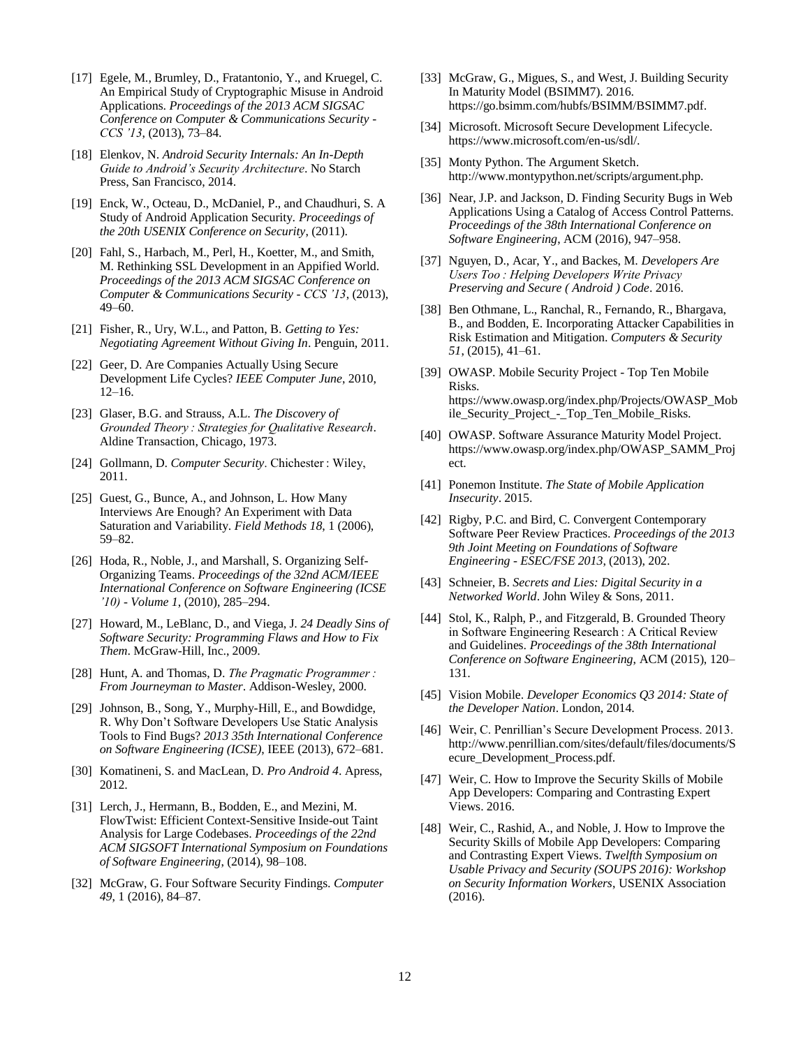- [17] Egele, M., Brumley, D., Fratantonio, Y., and Kruegel, C. An Empirical Study of Cryptographic Misuse in Android Applications. *Proceedings of the 2013 ACM SIGSAC Conference on Computer & Communications Security - CCS '13*, (2013), 73–84.
- [18] Elenkov, N. *Android Security Internals: An In-Depth Guide to Android's Security Architecture*. No Starch Press, San Francisco, 2014.
- [19] Enck, W., Octeau, D., McDaniel, P., and Chaudhuri, S. A Study of Android Application Security. *Proceedings of the 20th USENIX Conference on Security*, (2011).
- [20] Fahl, S., Harbach, M., Perl, H., Koetter, M., and Smith, M. Rethinking SSL Development in an Appified World. *Proceedings of the 2013 ACM SIGSAC Conference on Computer & Communications Security - CCS '13*, (2013), 49–60.
- [21] Fisher, R., Ury, W.L., and Patton, B. *Getting to Yes: Negotiating Agreement Without Giving In*. Penguin, 2011.
- [22] Geer, D. Are Companies Actually Using Secure Development Life Cycles? *IEEE Computer June*, 2010, 12–16.
- [23] Glaser, B.G. and Strauss, A.L. *The Discovery of Grounded Theory : Strategies for Qualitative Research*. Aldine Transaction, Chicago, 1973.
- [24] Gollmann, D. *Computer Security*. Chichester : Wiley, 2011.
- [25] Guest, G., Bunce, A., and Johnson, L. How Many Interviews Are Enough? An Experiment with Data Saturation and Variability. *Field Methods 18*, 1 (2006), 59–82.
- [26] Hoda, R., Noble, J., and Marshall, S. Organizing Self-Organizing Teams. *Proceedings of the 32nd ACM/IEEE International Conference on Software Engineering (ICSE '10) - Volume 1*, (2010), 285–294.
- [27] Howard, M., LeBlanc, D., and Viega, J. *24 Deadly Sins of Software Security: Programming Flaws and How to Fix Them*. McGraw-Hill, Inc., 2009.
- [28] Hunt, A. and Thomas, D. *The Pragmatic Programmer : From Journeyman to Master*. Addison-Wesley, 2000.
- [29] Johnson, B., Song, Y., Murphy-Hill, E., and Bowdidge, R. Why Don't Software Developers Use Static Analysis Tools to Find Bugs? *2013 35th International Conference on Software Engineering (ICSE)*, IEEE (2013), 672–681.
- [30] Komatineni, S. and MacLean, D. *Pro Android 4*. Apress, 2012.
- [31] Lerch, J., Hermann, B., Bodden, E., and Mezini, M. FlowTwist: Efficient Context-Sensitive Inside-out Taint Analysis for Large Codebases. *Proceedings of the 22nd ACM SIGSOFT International Symposium on Foundations of Software Engineering*, (2014), 98–108.
- [32] McGraw, G. Four Software Security Findings. *Computer 49*, 1 (2016), 84–87.
- [33] McGraw, G., Migues, S., and West, J. Building Security In Maturity Model (BSIMM7). 2016. https://go.bsimm.com/hubfs/BSIMM/BSIMM7.pdf.
- [34] Microsoft. Microsoft Secure Development Lifecycle. https://www.microsoft.com/en-us/sdl/.
- [35] Monty Python. The Argument Sketch. http://www.montypython.net/scripts/argument.php.
- [36] Near, J.P. and Jackson, D. Finding Security Bugs in Web Applications Using a Catalog of Access Control Patterns. *Proceedings of the 38th International Conference on Software Engineering*, ACM (2016), 947–958.
- [37] Nguyen, D., Acar, Y., and Backes, M. *Developers Are Users Too : Helping Developers Write Privacy Preserving and Secure ( Android ) Code*. 2016.
- [38] Ben Othmane, L., Ranchal, R., Fernando, R., Bhargava, B., and Bodden, E. Incorporating Attacker Capabilities in Risk Estimation and Mitigation. *Computers & Security 51*, (2015), 41–61.
- [39] OWASP. Mobile Security Project Top Ten Mobile Risks. https://www.owasp.org/index.php/Projects/OWASP\_Mob ile\_Security\_Project\_-\_Top\_Ten\_Mobile\_Risks.
- [40] OWASP. Software Assurance Maturity Model Project. https://www.owasp.org/index.php/OWASP\_SAMM\_Proj ect.
- [41] Ponemon Institute. *The State of Mobile Application Insecurity*. 2015.
- [42] Rigby, P.C. and Bird, C. Convergent Contemporary Software Peer Review Practices. *Proceedings of the 2013 9th Joint Meeting on Foundations of Software Engineering - ESEC/FSE 2013*, (2013), 202.
- [43] Schneier, B. *Secrets and Lies: Digital Security in a Networked World*. John Wiley & Sons, 2011.
- [44] Stol, K., Ralph, P., and Fitzgerald, B. Grounded Theory in Software Engineering Research : A Critical Review and Guidelines. *Proceedings of the 38th International Conference on Software Engineering*, ACM (2015), 120– 131.
- [45] Vision Mobile. *Developer Economics Q3 2014: State of the Developer Nation*. London, 2014.
- [46] Weir, C. Penrillian's Secure Development Process. 2013. http://www.penrillian.com/sites/default/files/documents/S ecure\_Development\_Process.pdf.
- [47] Weir, C. How to Improve the Security Skills of Mobile App Developers: Comparing and Contrasting Expert Views. 2016.
- [48] Weir, C., Rashid, A., and Noble, J. How to Improve the Security Skills of Mobile App Developers: Comparing and Contrasting Expert Views. *Twelfth Symposium on Usable Privacy and Security (SOUPS 2016): Workshop on Security Information Workers*, USENIX Association (2016).